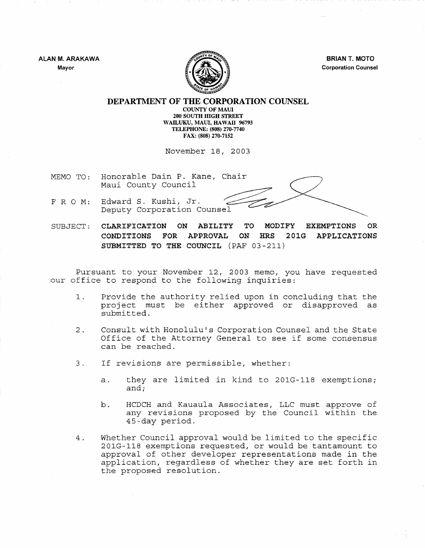**ALAN M. ARAKAWA Mayor** 



**BRIAN T. MOTO Corporation Counsel** 

## **DEPARTMENT OF THE CORPORATION COUNSEL COUNTY OF MAUl 200 SOUTH HIGH STREET WAILUKU, MAUl, HAWAII 96793 TELEPHONE: (808) 270-7740 FAX: (808) 270-7152**

November 18, 2003

- Honorable Dain P. Kane, Chair MEMO TO: Maui County Council
- Edward S. Kushi, Jr. FRO M: Deputy Corporation Counsel

SUBJECT: **CLARIFICATION ON ABILITY TO MODIFY EXEMPTIONS OR CONDITIONS FOR APPROVAL ON HRS 201G APPLICATIONS SUBMITTED TO THE COUNCIL** (PAF 03-211)

Pursuant to your November 12, 2003 memo, you have requested our office to respond to the following inquiries:

- 1. Provide the authority relied upon in concluding that the project must be either approved or disapproved as submitted.
- 2. Consult with Honolulu's Corporation Counsel and the State Office of the Attorney General to see if some consensus can be reached.
- 3. If revisions are permissible, whether:
	- a. they are limited in kind to 201G-118 exemptions; and;
	- b. HCDCH and Kauaula Associates, LLC must approve of any revisions proposed by the Council within the 4S-day period.
- 4. Whether Council approval would be limited to the specific 201G-118 exemptions requested, or would be tantamount to approval of other developer representations made in the application, regardless of whether they are set forth in the proposed resolution.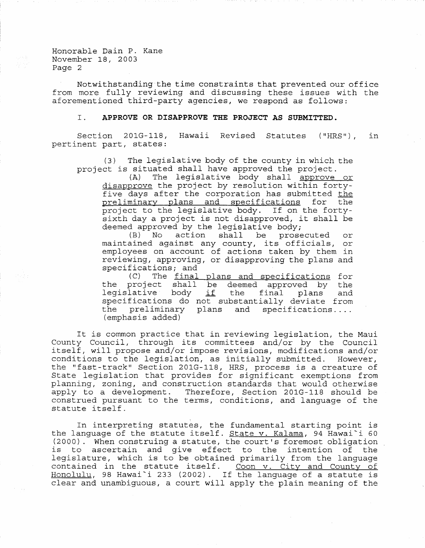Honorable Dain P. Kane November 18, 2003 Page 2

Notwithstanding the time constraints that prevented our office from more fully reviewing and discussing these issues with the aforementioned third-party agencies, we respond as follows:

## I. **APPROVE OR DISAPPROVE THE PROJECT AS SUBMITTED.**

Section 201G-118, Hawaii Revised Statutes ("HRS") , pertinent part, states: in

(3) The legislative body of the county in which the project is situated shall have approved the project.<br>(A) The legislative body shall approve

The legislative body shall approve or disapprove the project by resolution within fortyfive days after the corporation has submitted <u>the</u><br>preliminary plans and specifications for the preliminary plans and specifications project to the legislative body. If on the fortysixth day a project is not disapproved, it shall be deemed approved by the legislative body;<br>(B) No action shall be prose

prosecuted or maintained against any county, its officials, or employees on account of actions taken by them in reviewing, approving, or disapproving the plans and specifications; and<br>(C) The final

(C) The <u>final plans and specifications</u> for be deemed approved by the be deemed approved by the<br>if the final plans and the project shall the project shall<br>legislative body specifications do not substantially deviate from the preliminary<br>(emphasis added) plans and specifications....

It is common practice that in reviewing legislation, the Maui County Council, through its committees and/or by the Council itself, will propose and/or impose revisions, modifications and/or conditions to the legislation, as initially submitted. the "fast-track" Section 201G-118, HRS, process is a creature of State legislation that provides for significant exemptions from planning, zoning, and construction standards that would otherwise apply to a development. Therefore, Section 201G-118 should be construed pursuant to the terms, conditions, and language of the statute itself.

In interpreting statutes, the fundamental starting point is the language of the statute itself. State v. Kalama, 94 Hawai'i 60 (2000). When construing a statute, the court's foremost obligation is to ascertain and give effect to the intention of the legislature, which is to be obtained primarily from the language contained in the statute itself. Coon v. City and County of  $Homolulu$ , 98 Hawai'i 233 (2002). If the language of a statute is clear and unambiguous, a court will apply the plain meaning of the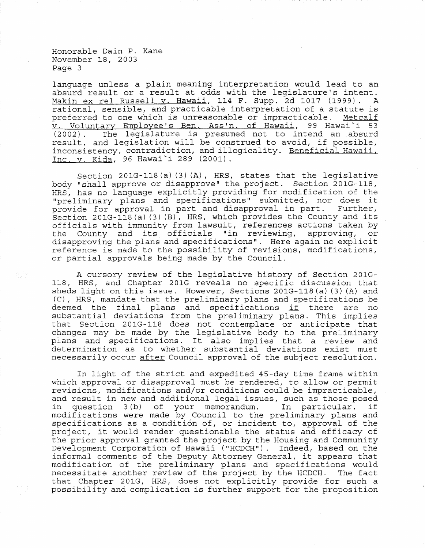Honorable Dain P. Kane November 18, 2003 Page 3

language unless a plain meaning interpretation would lead to an absurd result or a result at odds with the legislature's intent. Makin ex rel Russell v. Hawaii, 114 F. Supp. 2d 1017 (1999). rational, sensible, and practicable interpretation of a statute is preferred to one which is unreasonable or impracticable. Metcalf preferred to one which is unreasonable or impracticable. v. Voluntary Employee's Ben. Ass'n. of Hawaii, 99 Hawai'i 53 (2002) . The legislature is presumed not to intend an .absurd result, and legislation will be construed to avoid, if possible, inconsistency, contradiction, and illogicality. Beneficial Hawaii, Inc. v. Kida, 96 Hawai~i 289 (2001).

Section 201G-118 (a) (3) (A), HRS, states that the legislative body "shall approve or disapprove" the project. Section 201G-118, HRS, has no language explicitly providing for modification of the "preliminary plans and specifications" submitted, nor does it provide for approval in part and disapproval in part. Further, Section 201G-118(a) (3) (B), HRS, which provides the County and its officials with immunity from lawsuit, references actions taken by the County and its officials "in reviewing, approving, or disapproving the plans and specifications". Here again no explicit reference is made to the possibility of revisions, modifications, or partial approvals being made by the Council.

A cursory review of the legislative history of Section 201G-118, HRS, and Chapter 201G reveals no specific discussion that sheds light on this issue. However, Sections 201G-118 (a)  $(3)$  (A) and (C), HRS, mandate that the preliminary plans and specifications be (C), ARS, mandate that the prefiminally plans and specifications be<br>deemed the final plans and specifications <u>if</u> there are no substantial deviations from the preliminary plans. This implies that Section 201G-118 does not contemplate or anticipate that changes may be made by the legislative body to the preliminary plans and specifications. It also implies that a review and determination as to whether substantial deviations exist must necessarily occur after Council approval of the subject resolution.

In light of the strict and expedited 45-day time frame within which approval or disapproval must be rendered, to allow or permit revisions, modifications and/or conditions could be impracticable, and result in new and additional legal issues, such as those posed<br>in question 3(b) of your memorandum. In particular, if in question  $3(b)$  of your memorandum. modifications were made by Council to the preliminary plans and specifications as a condition of, or incident to, approval of the project, it would render questionable the status and efficacy of the prior approval granted the project by the Housing and Community Development Corporation of Hawaii ("HCDCH"). Indeed, based on the informal comments of the Deputy Attorney General, it appears that modification of the preliminary plans and specifications would necessitate another review of the project by the HCDCH. that Chapter 201G, HRS, does not explicitly provide for such a possibility and complication is further support for the proposition